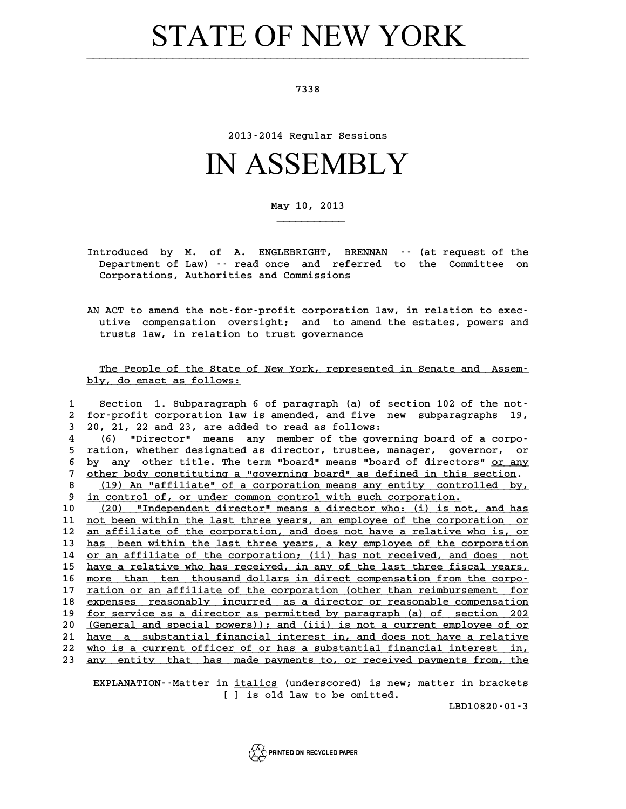## STATE OF NEW YORK

**7338**

**2013-2014 Regular Sessions**

## IN ASSEMBLY

**May 10, 2013**

**\_\_\_\_\_\_\_\_\_\_\_**

- **Introduced by M. of A. ENGLEBRIGHT, BRENNAN -- (at request of the** troduced by M. of A. ENGLEBRIGHT, BRENNAN -- (at request of the<br>Department of Law) -- read once and referred to the Committee on troduced by M. of A. ENGLEBRIGHT, BREN<br>Department of Law) -- read once and referr<br>Corporations, Authorities and Commissions
- **AN ACT to amend the not-for-profit corporation law, in relation to exec-**<br>utive compensation oversight, and to amend the estates powers and **utive compensation oversight; and to amend the estates, powers and** ACT to amend the not-for-profit corporation 1<br>utive compensation oversight; and to amend<br>trusts law, in relation to trust governance

The People of the State of New York, represented in Senate and Assem**bly, do enact as follows: \_\_\_\_\_\_\_\_\_\_\_\_\_\_\_\_\_\_\_\_\_\_\_\_\_**

| Section 1. Subparagraph 6 of paragraph (a) of section 102 of the not-<br>1<br>for-profit corporation law is amended, and five new subparagraphs<br>2<br>20, 21, 22 and 23, are added to read as follows:<br>3<br>"Director" means any member of the governing board of a corpo-<br>(6)<br>4<br>ration, whether designated as director, trustee, manager, governor, or<br>5<br>any other title. The term "board" means "board of directors" or any<br>6<br>bv<br>other body constituting a "governing board" as defined in this section.<br>7<br>8<br>(19) An "affiliate" of a corporation means any entity controlled by,<br>9<br>in control of, or under common control with such corporation.<br>10<br>"Independent director" means a director who: (i) is not, and has<br>(20)<br>11<br>not been within the last three years, an employee of the corporation or<br>12<br>an affiliate of the corporation, and does not have a relative who is, or<br>13<br>has been within the last three years, a key employee of the corporation | 19, |
|---------------------------------------------------------------------------------------------------------------------------------------------------------------------------------------------------------------------------------------------------------------------------------------------------------------------------------------------------------------------------------------------------------------------------------------------------------------------------------------------------------------------------------------------------------------------------------------------------------------------------------------------------------------------------------------------------------------------------------------------------------------------------------------------------------------------------------------------------------------------------------------------------------------------------------------------------------------------------------------------------------------------------------------|-----|
|                                                                                                                                                                                                                                                                                                                                                                                                                                                                                                                                                                                                                                                                                                                                                                                                                                                                                                                                                                                                                                       |     |
|                                                                                                                                                                                                                                                                                                                                                                                                                                                                                                                                                                                                                                                                                                                                                                                                                                                                                                                                                                                                                                       |     |
|                                                                                                                                                                                                                                                                                                                                                                                                                                                                                                                                                                                                                                                                                                                                                                                                                                                                                                                                                                                                                                       |     |
|                                                                                                                                                                                                                                                                                                                                                                                                                                                                                                                                                                                                                                                                                                                                                                                                                                                                                                                                                                                                                                       |     |
|                                                                                                                                                                                                                                                                                                                                                                                                                                                                                                                                                                                                                                                                                                                                                                                                                                                                                                                                                                                                                                       |     |
|                                                                                                                                                                                                                                                                                                                                                                                                                                                                                                                                                                                                                                                                                                                                                                                                                                                                                                                                                                                                                                       |     |
|                                                                                                                                                                                                                                                                                                                                                                                                                                                                                                                                                                                                                                                                                                                                                                                                                                                                                                                                                                                                                                       |     |
|                                                                                                                                                                                                                                                                                                                                                                                                                                                                                                                                                                                                                                                                                                                                                                                                                                                                                                                                                                                                                                       |     |
|                                                                                                                                                                                                                                                                                                                                                                                                                                                                                                                                                                                                                                                                                                                                                                                                                                                                                                                                                                                                                                       |     |
|                                                                                                                                                                                                                                                                                                                                                                                                                                                                                                                                                                                                                                                                                                                                                                                                                                                                                                                                                                                                                                       |     |
|                                                                                                                                                                                                                                                                                                                                                                                                                                                                                                                                                                                                                                                                                                                                                                                                                                                                                                                                                                                                                                       |     |
|                                                                                                                                                                                                                                                                                                                                                                                                                                                                                                                                                                                                                                                                                                                                                                                                                                                                                                                                                                                                                                       |     |
| 14<br>or an affiliate of the corporation; (ii) has not received, and does not                                                                                                                                                                                                                                                                                                                                                                                                                                                                                                                                                                                                                                                                                                                                                                                                                                                                                                                                                         |     |
| 15<br>have a relative who has received, in any of the last three fiscal years,                                                                                                                                                                                                                                                                                                                                                                                                                                                                                                                                                                                                                                                                                                                                                                                                                                                                                                                                                        |     |
| 16<br>more than ten thousand dollars in direct compensation from the corpo-                                                                                                                                                                                                                                                                                                                                                                                                                                                                                                                                                                                                                                                                                                                                                                                                                                                                                                                                                           |     |
| 17<br>ration or an affiliate of the corporation (other than reimbursement for                                                                                                                                                                                                                                                                                                                                                                                                                                                                                                                                                                                                                                                                                                                                                                                                                                                                                                                                                         |     |
| 18<br>expenses reasonably incurred as a director or reasonable compensation                                                                                                                                                                                                                                                                                                                                                                                                                                                                                                                                                                                                                                                                                                                                                                                                                                                                                                                                                           |     |
| 19<br>for service as a director as permitted by paragraph (a) of section 202                                                                                                                                                                                                                                                                                                                                                                                                                                                                                                                                                                                                                                                                                                                                                                                                                                                                                                                                                          |     |
| 20<br>(General and special powers)); and (iii) is not a current employee of or                                                                                                                                                                                                                                                                                                                                                                                                                                                                                                                                                                                                                                                                                                                                                                                                                                                                                                                                                        |     |
| have a substantial financial interest in, and does not have a relative<br>21                                                                                                                                                                                                                                                                                                                                                                                                                                                                                                                                                                                                                                                                                                                                                                                                                                                                                                                                                          |     |
| 22<br>who is a current officer of or has a substantial financial interest in,                                                                                                                                                                                                                                                                                                                                                                                                                                                                                                                                                                                                                                                                                                                                                                                                                                                                                                                                                         |     |
| 23.<br>any entity that has made payments to, or received payments from, the                                                                                                                                                                                                                                                                                                                                                                                                                                                                                                                                                                                                                                                                                                                                                                                                                                                                                                                                                           |     |

**EXPLANATION--Matter in <u>italics</u> (underscored) is new; matter in brackets<br>
<b>EXPLANATION--Matter in <u>italics</u>** (underscored) is new; matter in brackets **[ ] is old law to be omitted.**

**LBD10820-01-3**

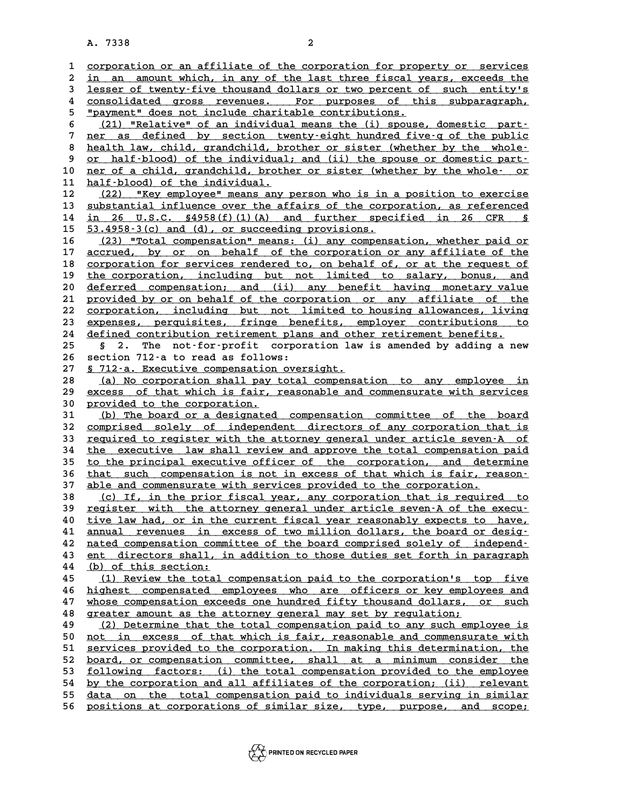**A. 7338 2**

|          | $\overline{a}$<br>A. 7338                                                                                                                        |
|----------|--------------------------------------------------------------------------------------------------------------------------------------------------|
|          |                                                                                                                                                  |
| 1        | corporation or an affiliate of the corporation for property or services                                                                          |
| 2<br>3   | in an amount which, in any of the last three fiscal years, exceeds the<br>lesser of twenty-five thousand dollars or two percent of such entity's |
| 4        | consolidated gross revenues. For purposes of this subparagraph,                                                                                  |
| 5        | "payment" does not include charitable contributions.                                                                                             |
| 6        | (21) "Relative" of an individual means the (i) spouse, domestic part-                                                                            |
| 7        | ner as defined by section twenty-eight hundred five-q of the public                                                                              |
| 8        | health law, child, grandchild, brother or sister (whether by the whole-                                                                          |
| 9        | or half-blood) of the individual; and (ii) the spouse or domestic part-                                                                          |
| 10       | ner of a child, grandchild, brother or sister (whether by the whole- or                                                                          |
| 11       | half-blood) of the individual.                                                                                                                   |
| 12       | "Key employee" means any person who is in a position to exercise<br>(22)                                                                         |
| 13       | substantial influence over the affairs of the corporation, as referenced                                                                         |
| 14       | in 26 U.S.C. $\S4958(f)(1)(A)$ and further specified in 26 CFR $\S$                                                                              |
| 15       | 53.4958-3(c) and (d), or succeeding provisions.                                                                                                  |
| 16       | (23) "Total compensation" means: (i) any compensation, whether paid or                                                                           |
| 17       | accrued, by or on behalf of the corporation or any affiliate of the<br>corporation for services rendered to, on behalf of, or at the request of  |
| 18<br>19 | the corporation, including but not limited to salary, bonus, and                                                                                 |
| 20       | deferred compensation; and (ii) any benefit having monetary value                                                                                |
| 21       | provided by or on behalf of the corporation or any affiliate of the                                                                              |
| 22       | corporation, including but not limited to housing allowances, living                                                                             |
| 23       | expenses, perquisites, fringe benefits, employer contributions to                                                                                |
| 24       | defined contribution retirement plans and other retirement benefits.                                                                             |
| 25       | The not-for-profit corporation law is amended by adding a new<br>S.<br>2.                                                                        |
| 26       | section 712-a to read as follows:                                                                                                                |
| 27       | § 712-a. Executive compensation oversight.                                                                                                       |
| 28       | (a) No corporation shall pay total compensation to any employee in                                                                               |
| 29<br>30 | excess of that which is fair, reasonable and commensurate with services<br>provided to the corporation.                                          |
| 31       | (b) The board or a designated compensation committee of the board                                                                                |
| 32       | comprised solely of independent directors of any corporation that is                                                                             |
| 33       | required to register with the attorney general under article seven-A of                                                                          |
| 34       | the executive law shall review and approve the total compensation paid                                                                           |
| 35       | to the principal executive officer of the corporation, and determine                                                                             |
| 36       | that such compensation is not in excess of that which is fair, reason-                                                                           |
| 37       | able and commensurate with services provided to the corporation.                                                                                 |
| 38       | (c) If, in the prior fiscal year, any corporation that is required to                                                                            |
| 39       | register with the attorney general under article seven-A of the execu-                                                                           |
| 40       | tive law had, or in the current fiscal year reasonably expects to have,                                                                          |
| 41<br>42 | annual revenues in excess of two million dollars, the board or desig-<br>nated compensation committee of the board comprised solely of independ- |
| 43       | ent directors shall, in addition to those duties set forth in paragraph                                                                          |
| 44       | (b) of this section:                                                                                                                             |
| 45       | (1) Review the total compensation paid to the corporation's top five                                                                             |
| 46       | highest compensated employees who are officers or key employees and                                                                              |
| 47       | whose compensation exceeds one hundred fifty thousand dollars, or such                                                                           |
| 48       | greater amount as the attorney general may set by regulation;                                                                                    |
| 49       | (2) Determine that the total compensation paid to any such employee is                                                                           |
| 50       | not in excess of that which is fair, reasonable and commensurate with                                                                            |
| 51       | services provided to the corporation. In making this determination, the                                                                          |
| 52       | board, or compensation committee, shall at a minimum consider the                                                                                |
| 53       | following factors: (i) the total compensation provided to the employee                                                                           |
| 54<br>55 | by the corporation and all affiliates of the corporation; (ii) relevant<br>data on the total compensation paid to individuals serving in similar |
| 56       | positions at corporations of similar size, type, purpose, and                                                                                    |
|          | scope;                                                                                                                                           |

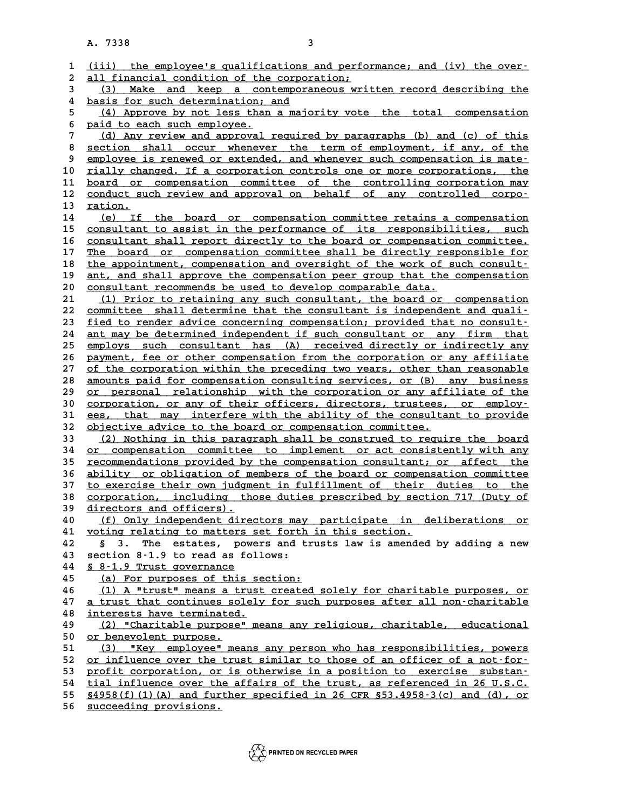**A. 7338 3**

|          | 3<br>A. 7338                                                                                                                              |
|----------|-------------------------------------------------------------------------------------------------------------------------------------------|
|          |                                                                                                                                           |
| 1        | (iii) the employee's qualifications and performance; and (iv) the over-                                                                   |
| 2        | all financial condition of the corporation;                                                                                               |
| 3        | Make and keep a contemporaneous written record describing the<br>(3)                                                                      |
| 4        | basis for such determination; and                                                                                                         |
| 5        | (4) Approve by not less than a majority vote the total compensation                                                                       |
| 6        | paid to each such employee.                                                                                                               |
| 7        | (d) Any review and approval required by paragraphs (b) and (c) of this                                                                    |
| 8        | section shall occur whenever the term of employment, if any, of the                                                                       |
| 9        | employee is renewed or extended, and whenever such compensation is mate-                                                                  |
| 10       | rially changed. If a corporation controls one or more corporations, the                                                                   |
| 11<br>12 | board or compensation committee of the controlling corporation may<br>conduct such review and approval on behalf of any controlled corpo- |
| 13       | ration.                                                                                                                                   |
| 14       | (e) If the board or compensation committee retains a compensation                                                                         |
| 15       | consultant to assist in the performance of its responsibilities, such                                                                     |
| 16       | consultant shall report directly to the board or compensation committee.                                                                  |
| 17       | The board or compensation committee shall be directly responsible for                                                                     |
| 18       | the appointment, compensation and oversight of the work of such consult-                                                                  |
| 19       | ant, and shall approve the compensation peer group that the compensation                                                                  |
| 20       | consultant recommends be used to develop comparable data.                                                                                 |
| 21       | (1) Prior to retaining any such consultant, the board or compensation                                                                     |
| 22       | committee shall determine that the consultant is independent and quali-                                                                   |
| 23       | fied to render advice concerning compensation; provided that no consult-                                                                  |
| 24       | ant may be determined independent if such consultant or any firm that                                                                     |
| 25       | employs such consultant has (A) received directly or indirectly any                                                                       |
| 26       | payment, fee or other compensation from the corporation or any affiliate                                                                  |
| 27       | of the corporation within the preceding two years, other than reasonable                                                                  |
| 28       | amounts paid for compensation consulting services, or (B) any business                                                                    |
| 29       | or personal relationship with the corporation or any affiliate of the                                                                     |
| 30       | corporation, or any of their officers, directors, trustees, or employ-                                                                    |
| 31<br>32 | ees, that may interfere with the ability of the consultant to provide<br>objective advice to the board or compensation committee.         |
| 33       | (2) Nothing in this paragraph shall be construed to require the board                                                                     |
| 34       | or compensation committee to implement or act consistently with any                                                                       |
| 35       | recommendations provided by the compensation consultant; or affect the                                                                    |
| 36       | ability or obligation of members of the board or compensation committee                                                                   |
| 37       | to exercise their own judgment in fulfillment of their duties to the                                                                      |
| 38       | <u>corporation, including those duties prescribed by section 717 (Duty of</u>                                                             |
| 39       | directors and officers).                                                                                                                  |
| 40       | (f) Only independent directors may participate in deliberations or                                                                        |
| 41       | voting relating to matters set forth in this section.                                                                                     |
| 42       | § 3. The estates, powers and trusts law is amended by adding a new                                                                        |
| 43       | section 8-1.9 to read as follows:                                                                                                         |
| 44       | § 8-1.9 Trust governance                                                                                                                  |
| 45       | (a) For purposes of this section:                                                                                                         |
| 46       | (1) A "trust" means a trust created solely for charitable purposes, or                                                                    |
| 47       | a trust that continues solely for such purposes after all non-charitable                                                                  |
| 48<br>49 | interests have terminated.<br>(2) "Charitable purpose" means any religious, charitable, educational                                       |
| 50       | or benevolent purpose.                                                                                                                    |
| 51       | (3) "Key employee" means any person who has responsibilities, powers                                                                      |
| 52       | or influence over the trust similar to those of an officer of a not-for-                                                                  |
| 53       | profit corporation, or is otherwise in a position to exercise substan-                                                                    |
| 54       | tial influence over the affairs of the trust, as referenced in 26 U.S.C.                                                                  |
| 55       | $§4958(f) (1) (A)$ and further specified in 26 CFR $§53.4958-3(c)$ and (d), or                                                            |
| 56       | succeeding provisions.                                                                                                                    |
|          |                                                                                                                                           |

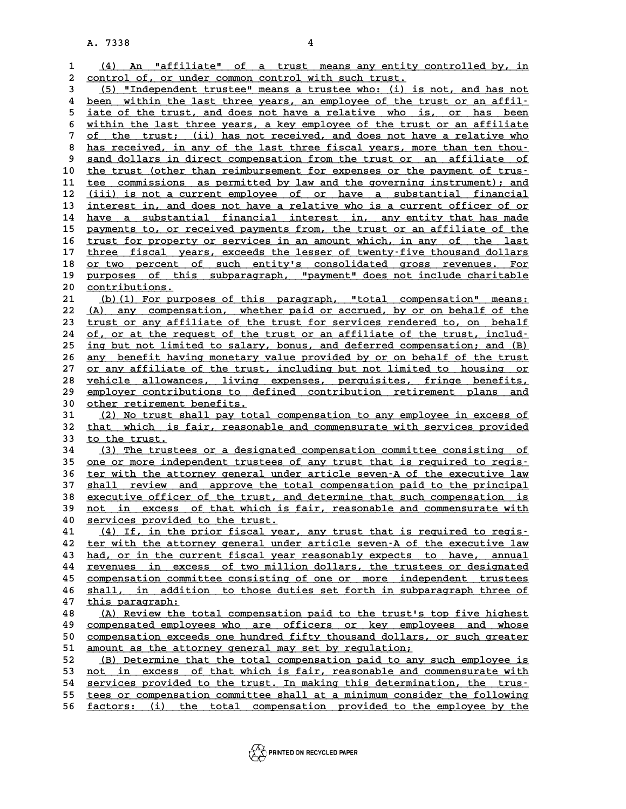**A. 7338 4**

|              | A. 7338<br>4                                                                                                                                     |
|--------------|--------------------------------------------------------------------------------------------------------------------------------------------------|
| $\mathbf{1}$ | An "affiliate" of a trust means any entity controlled by, in<br>(4)                                                                              |
| 2            | control of, or under common control with such trust.                                                                                             |
| 3            | (5) "Independent trustee" means a trustee who: (i) is not, and has not                                                                           |
| 4            | been within the last three years, an employee of the trust or an affil-                                                                          |
| 5            | iate of the trust, and does not have a relative who is, or has been                                                                              |
| 6            | within the last three years, a key employee of the trust or an affiliate                                                                         |
| 7            | of the trust; (ii) has not received, and does not have a relative who                                                                            |
| 8            | has received, in any of the last three fiscal years, more than ten thou-                                                                         |
| 9            | sand dollars in direct compensation from the trust or an affiliate of                                                                            |
| 10           | the trust (other than reimbursement for expenses or the payment of trus-                                                                         |
| 11           | tee commissions as permitted by law and the governing instrument); and                                                                           |
| 12           | (iii) is not a current employee of or have a substantial financial                                                                               |
| 13           | interest in, and does not have a relative who is a current officer of or                                                                         |
| 14           | have a substantial financial interest in, any entity that has made                                                                               |
| 15           | payments to, or received payments from, the trust or an affiliate of the                                                                         |
| 16           | trust for property or services in an amount which, in any of the last                                                                            |
| 17           | three fiscal years, exceeds the lesser of twenty-five thousand dollars                                                                           |
| 18<br>19     | or two percent of such entity's consolidated gross revenues. For                                                                                 |
| 20           | purposes of this subparagraph, "payment" does not include charitable<br>contributions.                                                           |
| 21           | (b) (1) For purposes of this paragraph, "total compensation" means:                                                                              |
| 22           | (A) any compensation, whether paid or accrued, by or on behalf of the                                                                            |
| 23           | trust or any affiliate of the trust for services rendered to, on behalf                                                                          |
| 24           | of, or at the request of the trust or an affiliate of the trust, includ-                                                                         |
| 25           | ing but not limited to salary, bonus, and deferred compensation; and (B)                                                                         |
| 26           | any benefit having monetary value provided by or on behalf of the trust                                                                          |
| 27           | or any affiliate of the trust, including but not limited to housing or                                                                           |
| 28           | vehicle allowances, living expenses, perquisites, fringe benefits,                                                                               |
| 29           | employer contributions to defined contribution retirement plans and                                                                              |
| 30           | other retirement benefits.                                                                                                                       |
| 31<br>32     | (2) No trust shall pay total compensation to any employee in excess of<br>that which is fair, reasonable and commensurate with services provided |
| 33           | to the trust.                                                                                                                                    |
| 34           | (3) The trustees or a designated compensation committee consisting of                                                                            |
| 35           | one or more independent trustees of any trust that is required to regis-                                                                         |
| 36           | ter with the attorney general under article seven-A of the executive law                                                                         |
| 37           | shall review and approve the total compensation paid to the principal                                                                            |
| 38           | <u>executive officer of the trust, and determine that such compensation is</u>                                                                   |
| 39           | not in excess of that which is fair, reasonable and commensurate with                                                                            |
| 40           | services provided to the trust.                                                                                                                  |
| 41           | (4) If, in the prior fiscal year, any trust that is required to regis-                                                                           |
| 42           | ter with the attorney general under article seven-A of the executive law                                                                         |
| 43           | had, or in the current fiscal year reasonably expects to have, annual                                                                            |
| 44<br>45     | revenues in excess of two million dollars, the trustees or designated<br>compensation committee consisting of one or more independent trustees   |
| 46           | shall, in addition to those duties set forth in subparagraph three of                                                                            |
| 47           | this paragraph:                                                                                                                                  |
| 48           | (A) Review the total compensation paid to the trust's top five highest                                                                           |
| 49           | compensated employees who are officers or key employees and whose                                                                                |
| 50           | compensation exceeds one hundred fifty thousand dollars, or such greater                                                                         |
| 51           | amount as the attorney general may set by regulation;                                                                                            |
| 52           | (B) Determine that the total compensation paid to any such employee is                                                                           |
| 53           | not in excess of that which is fair, reasonable and commensurate with                                                                            |
| 54           | services provided to the trust. In making this determination, the trus-                                                                          |
| 55           | tees or compensation committee shall at a minimum consider the following                                                                         |
| 56           | factors: (i) the total compensation provided to the employee by the                                                                              |